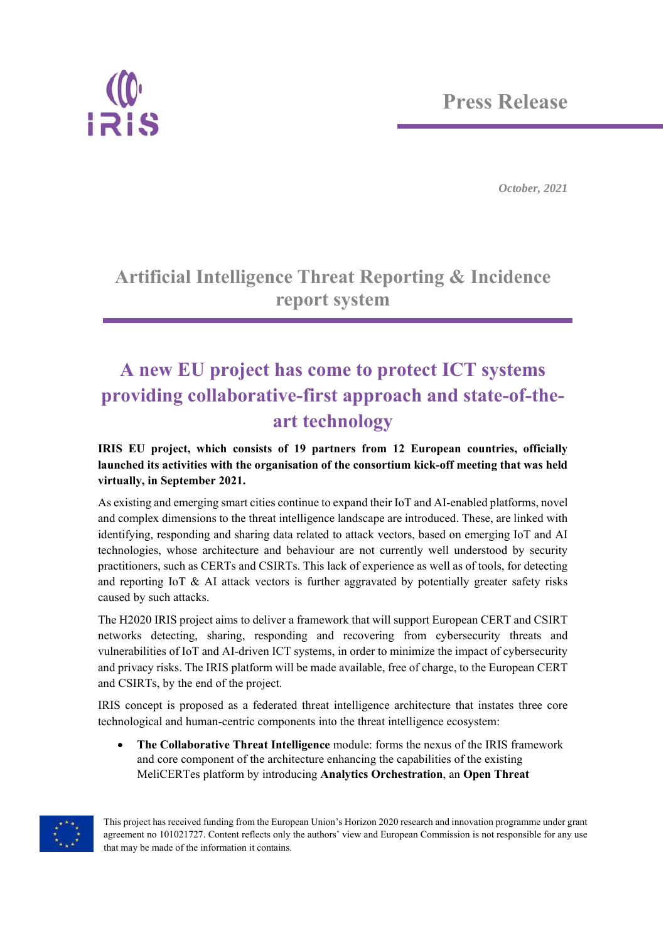

## **Artificial Intelligence Threat Reporting & Incidence report system**

## **A new EU project has come to protect ICT systems providing collaborative-first approach and state-of-theart technology**

## **IRIS EU project, which consists of 19 partners from 12 European countries, officially launched its activities with the organisation of the consortium kick-off meeting that was held virtually, in September 2021.**

As existing and emerging smart cities continue to expand their IoT and AI-enabled platforms, novel and complex dimensions to the threat intelligence landscape are introduced. These, are linked with identifying, responding and sharing data related to attack vectors, based on emerging IoT and AI technologies, whose architecture and behaviour are not currently well understood by security practitioners, such as CERTs and CSIRTs. This lack of experience as well as of tools, for detecting and reporting IoT & AI attack vectors is further aggravated by potentially greater safety risks caused by such attacks.

The H2020 IRIS project aims to deliver a framework that will support European CERT and CSIRT networks detecting, sharing, responding and recovering from cybersecurity threats and vulnerabilities of IoT and AI-driven ICT systems, in order to minimize the impact of cybersecurity and privacy risks. The IRIS platform will be made available, free of charge, to the European CERT and CSIRTs, by the end of the project.

IRIS concept is proposed as a federated threat intelligence architecture that instates three core technological and human-centric components into the threat intelligence ecosystem:

 **The Collaborative Threat Intelligence** module: forms the nexus of the IRIS framework and core component of the architecture enhancing the capabilities of the existing MeliCERTes platform by introducing **Analytics Orchestration**, an **Open Threat** 



This project has received funding from the European Union's Horizon 2020 research and innovation programme under grant agreement no 101021727. Content reflects only the authors' view and European Commission is not responsible for any use that may be made of the information it contains.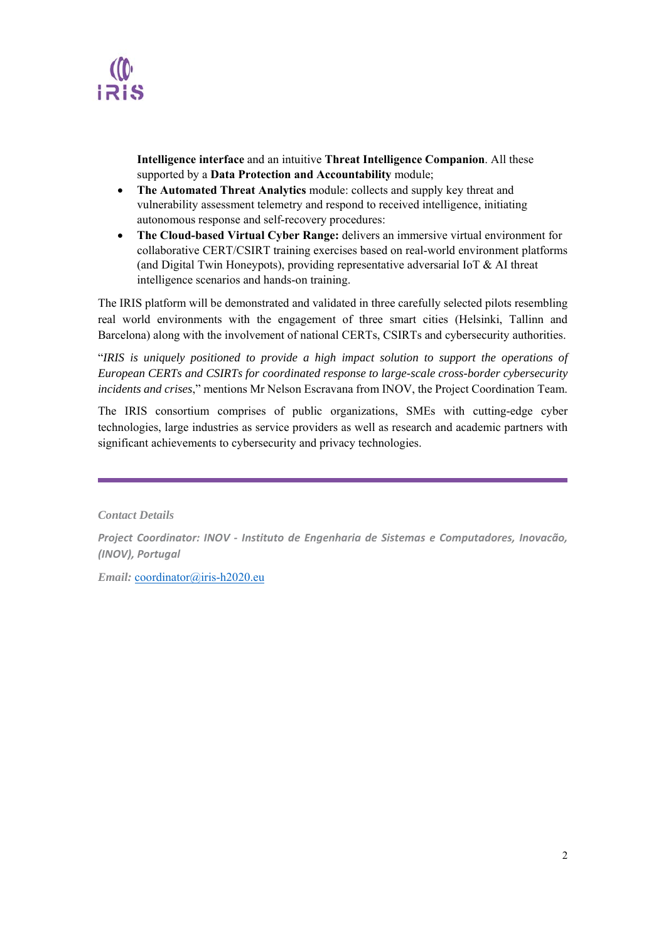

**Intelligence interface** and an intuitive **Threat Intelligence Companion**. All these supported by a **Data Protection and Accountability** module;

- **The Automated Threat Analytics** module: collects and supply key threat and vulnerability assessment telemetry and respond to received intelligence, initiating autonomous response and self-recovery procedures:
- **The Cloud-based Virtual Cyber Range:** delivers an immersive virtual environment for collaborative CERT/CSIRT training exercises based on real-world environment platforms (and Digital Twin Honeypots), providing representative adversarial IoT & AI threat intelligence scenarios and hands-on training.

The IRIS platform will be demonstrated and validated in three carefully selected pilots resembling real world environments with the engagement of three smart cities (Helsinki, Tallinn and Barcelona) along with the involvement of national CERTs, CSIRTs and cybersecurity authorities.

"*IRIS is uniquely positioned to provide a high impact solution to support the operations of European CERTs and CSIRTs for coordinated response to large-scale cross-border cybersecurity incidents and crises*," mentions Mr Nelson Escravana from INOV, the Project Coordination Team.

The IRIS consortium comprises of public organizations, SMEs with cutting-edge cyber technologies, large industries as service providers as well as research and academic partners with significant achievements to cybersecurity and privacy technologies.

*Contact Details* 

*Project Coordinator: INOV ‐ Instituto de Engenharia de Sistemas e Computadores, Inovacão, (INOV), Portugal* 

*Email:* coordinator@iris-h2020.eu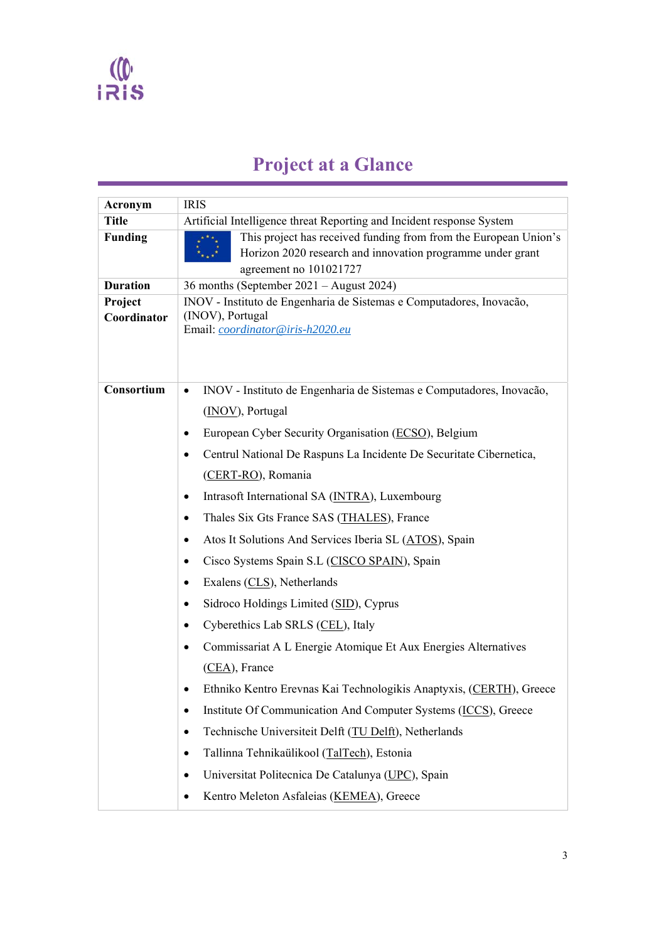

## **Project at a Glance**

| Acronym                | <b>IRIS</b>                                                                                                                                              |
|------------------------|----------------------------------------------------------------------------------------------------------------------------------------------------------|
| <b>Title</b>           | Artificial Intelligence threat Reporting and Incident response System                                                                                    |
| <b>Funding</b>         | This project has received funding from from the European Union's<br>Horizon 2020 research and innovation programme under grant<br>agreement no 101021727 |
| <b>Duration</b>        | 36 months (September 2021 – August 2024)                                                                                                                 |
| Project<br>Coordinator | INOV - Instituto de Engenharia de Sistemas e Computadores, Inovação,<br>(INOV), Portugal<br>Email: coordinator@iris-h2020.eu                             |
| Consortium             | INOV - Instituto de Engenharia de Sistemas e Computadores, Inovação,<br>$\bullet$<br>(INOV), Portugal                                                    |
|                        | European Cyber Security Organisation (ECSO), Belgium<br>$\bullet$                                                                                        |
|                        | Centrul National De Raspuns La Incidente De Securitate Cibernetica,<br>$\bullet$                                                                         |
|                        | (CERT-RO), Romania                                                                                                                                       |
|                        | Intrasoft International SA (INTRA), Luxembourg<br>$\bullet$                                                                                              |
|                        | Thales Six Gts France SAS (THALES), France<br>$\bullet$                                                                                                  |
|                        | Atos It Solutions And Services Iberia SL (ATOS), Spain<br>$\bullet$                                                                                      |
|                        | Cisco Systems Spain S.L (CISCO SPAIN), Spain<br>٠                                                                                                        |
|                        | Exalens (CLS), Netherlands<br>٠                                                                                                                          |
|                        | Sidroco Holdings Limited (SID), Cyprus<br>$\bullet$                                                                                                      |
|                        | Cyberethics Lab SRLS (CEL), Italy<br>$\bullet$                                                                                                           |
|                        | Commissariat A L Energie Atomique Et Aux Energies Alternatives<br>٠                                                                                      |
|                        | $(CEA)$ , France                                                                                                                                         |
|                        | Ethniko Kentro Erevnas Kai Technologikis Anaptyxis, (CERTH), Greece                                                                                      |
|                        | Institute Of Communication And Computer Systems (ICCS), Greece<br>$\bullet$                                                                              |
|                        | Technische Universiteit Delft (TU Delft), Netherlands<br>$\bullet$                                                                                       |
|                        | Tallinna Tehnikaülikool (TalTech), Estonia<br>$\bullet$                                                                                                  |
|                        | Universitat Politecnica De Catalunya (UPC), Spain<br>$\bullet$                                                                                           |
|                        | Kentro Meleton Asfaleias (KEMEA), Greece<br>$\bullet$                                                                                                    |